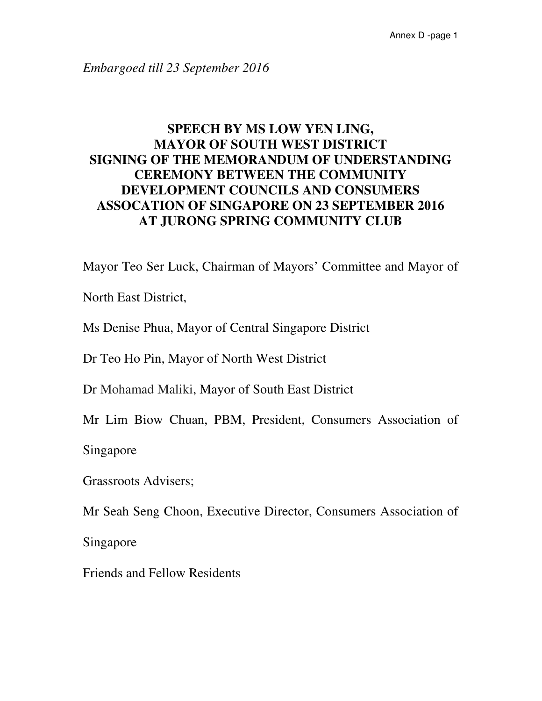*Embargoed till 23 September 2016* 

## **SPEECH BY MS LOW YEN LING, MAYOR OF SOUTH WEST DISTRICT SIGNING OF THE MEMORANDUM OF UNDERSTANDING CEREMONY BETWEEN THE COMMUNITY DEVELOPMENT COUNCILS AND CONSUMERS ASSOCATION OF SINGAPORE ON 23 SEPTEMBER 2016 AT JURONG SPRING COMMUNITY CLUB**

Mayor Teo Ser Luck, Chairman of Mayors' Committee and Mayor of

North East District,

Ms Denise Phua, Mayor of Central Singapore District

Dr Teo Ho Pin, Mayor of North West District

Dr Mohamad Maliki, Mayor of South East District

Mr Lim Biow Chuan, PBM, President, Consumers Association of

Singapore

Grassroots Advisers;

Mr Seah Seng Choon, Executive Director, Consumers Association of

Singapore

Friends and Fellow Residents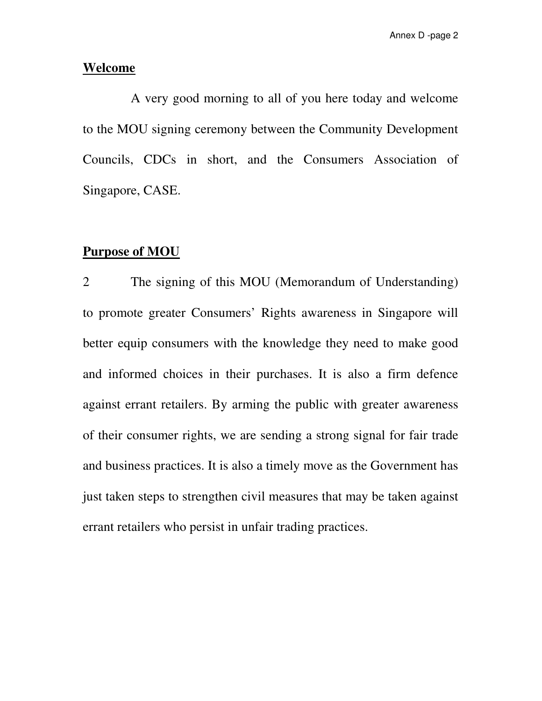#### **Welcome**

 A very good morning to all of you here today and welcome to the MOU signing ceremony between the Community Development Councils, CDCs in short, and the Consumers Association of Singapore, CASE.

### **Purpose of MOU**

2 The signing of this MOU (Memorandum of Understanding) to promote greater Consumers' Rights awareness in Singapore will better equip consumers with the knowledge they need to make good and informed choices in their purchases. It is also a firm defence against errant retailers. By arming the public with greater awareness of their consumer rights, we are sending a strong signal for fair trade and business practices. It is also a timely move as the Government has just taken steps to strengthen civil measures that may be taken against errant retailers who persist in unfair trading practices.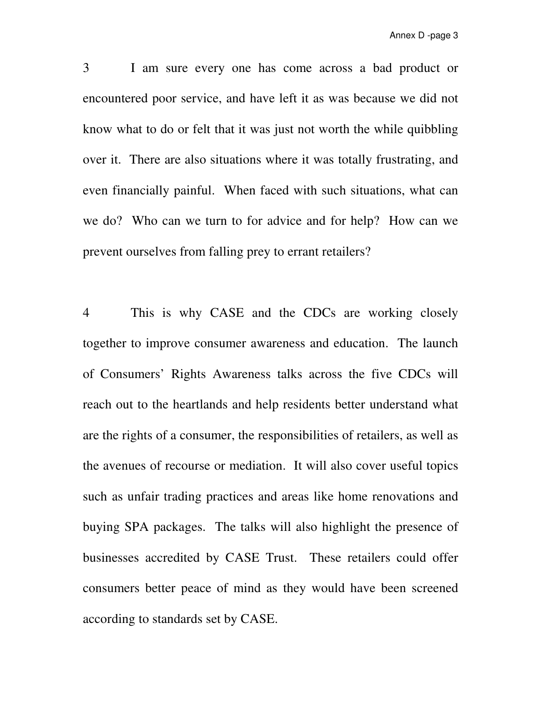3 I am sure every one has come across a bad product or encountered poor service, and have left it as was because we did not know what to do or felt that it was just not worth the while quibbling over it. There are also situations where it was totally frustrating, and even financially painful. When faced with such situations, what can we do? Who can we turn to for advice and for help? How can we prevent ourselves from falling prey to errant retailers?

4 This is why CASE and the CDCs are working closely together to improve consumer awareness and education. The launch of Consumers' Rights Awareness talks across the five CDCs will reach out to the heartlands and help residents better understand what are the rights of a consumer, the responsibilities of retailers, as well as the avenues of recourse or mediation. It will also cover useful topics such as unfair trading practices and areas like home renovations and buying SPA packages. The talks will also highlight the presence of businesses accredited by CASE Trust. These retailers could offer consumers better peace of mind as they would have been screened according to standards set by CASE.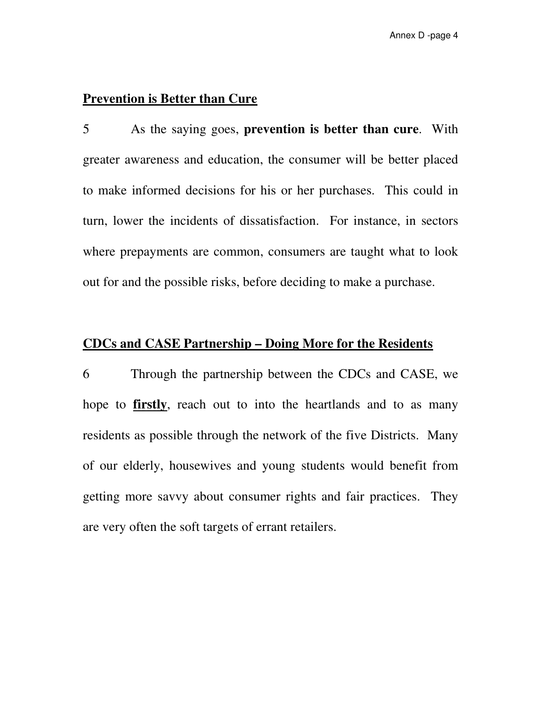## **Prevention is Better than Cure**

5 As the saying goes, **prevention is better than cure**. With greater awareness and education, the consumer will be better placed to make informed decisions for his or her purchases. This could in turn, lower the incidents of dissatisfaction. For instance, in sectors where prepayments are common, consumers are taught what to look out for and the possible risks, before deciding to make a purchase.

## **CDCs and CASE Partnership – Doing More for the Residents**

6 Through the partnership between the CDCs and CASE, we hope to **firstly**, reach out to into the heartlands and to as many residents as possible through the network of the five Districts. Many of our elderly, housewives and young students would benefit from getting more savvy about consumer rights and fair practices. They are very often the soft targets of errant retailers.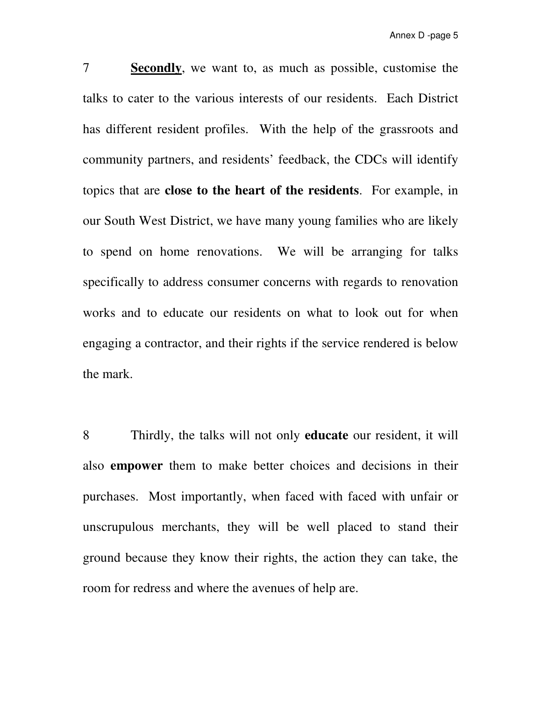7 **Secondly**, we want to, as much as possible, customise the talks to cater to the various interests of our residents. Each District has different resident profiles. With the help of the grassroots and community partners, and residents' feedback, the CDCs will identify topics that are **close to the heart of the residents**. For example, in our South West District, we have many young families who are likely to spend on home renovations. We will be arranging for talks specifically to address consumer concerns with regards to renovation works and to educate our residents on what to look out for when engaging a contractor, and their rights if the service rendered is below the mark.

8 Thirdly, the talks will not only **educate** our resident, it will also **empower** them to make better choices and decisions in their purchases. Most importantly, when faced with faced with unfair or unscrupulous merchants, they will be well placed to stand their ground because they know their rights, the action they can take, the room for redress and where the avenues of help are.